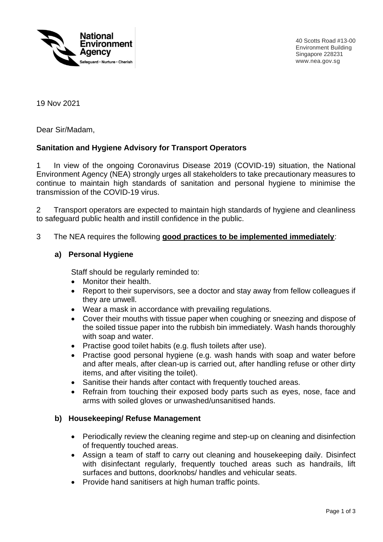

40 Scotts Road #13-00 Environment Building Singapore 228231 www.nea.gov.sg

19 Nov 2021

Dear Sir/Madam,

#### **Sanitation and Hygiene Advisory for Transport Operators**

1 In view of the ongoing Coronavirus Disease 2019 (COVID-19) situation, the National Environment Agency (NEA) strongly urges all stakeholders to take precautionary measures to continue to maintain high standards of sanitation and personal hygiene to minimise the transmission of the COVID-19 virus.

2 Transport operators are expected to maintain high standards of hygiene and cleanliness to safeguard public health and instill confidence in the public.

3 The NEA requires the following **good practices to be implemented immediately**:

#### **a) Personal Hygiene**

Staff should be regularly reminded to:

- Monitor their health.
- Report to their supervisors, see a doctor and stay away from fellow colleagues if they are unwell.
- Wear a mask in accordance with prevailing regulations.
- Cover their mouths with tissue paper when coughing or sneezing and dispose of the soiled tissue paper into the rubbish bin immediately. Wash hands thoroughly with soap and water.
- Practise good toilet habits (e.g. flush toilets after use).
- Practise good personal hygiene (e.g. wash hands with soap and water before and after meals, after clean-up is carried out, after handling refuse or other dirty items, and after visiting the toilet).
- Sanitise their hands after contact with frequently touched areas.
- Refrain from touching their exposed body parts such as eyes, nose, face and arms with soiled gloves or unwashed/unsanitised hands.

#### **b) Housekeeping/ Refuse Management**

- Periodically review the cleaning regime and step-up on cleaning and disinfection of frequently touched areas.
- Assign a team of staff to carry out cleaning and housekeeping daily. Disinfect with disinfectant regularly, frequently touched areas such as handrails, lift surfaces and buttons, doorknobs/ handles and vehicular seats.
- Provide hand sanitisers at high human traffic points.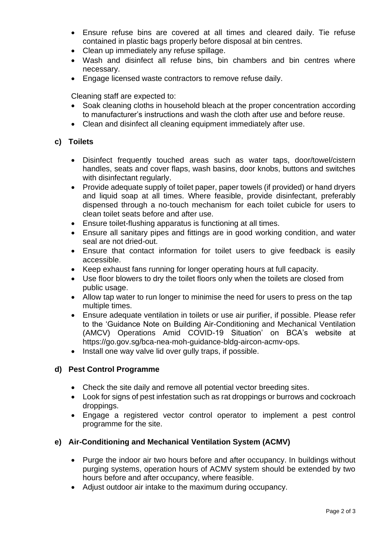- Ensure refuse bins are covered at all times and cleared daily. Tie refuse contained in plastic bags properly before disposal at bin centres.
- Clean up immediately any refuse spillage.
- Wash and disinfect all refuse bins, bin chambers and bin centres where necessary.
- Engage licensed waste contractors to remove refuse daily.

Cleaning staff are expected to:

- Soak cleaning cloths in household bleach at the proper concentration according to manufacturer's instructions and wash the cloth after use and before reuse.
- Clean and disinfect all cleaning equipment immediately after use.

#### **c) Toilets**

- Disinfect frequently touched areas such as water taps, door/towel/cistern handles, seats and cover flaps, wash basins, door knobs, buttons and switches with disinfectant regularly.
- Provide adequate supply of toilet paper, paper towels (if provided) or hand dryers and liquid soap at all times. Where feasible, provide disinfectant, preferably dispensed through a no-touch mechanism for each toilet cubicle for users to clean toilet seats before and after use.
- Ensure toilet-flushing apparatus is functioning at all times.
- Ensure all sanitary pipes and fittings are in good working condition, and water seal are not dried-out.
- Ensure that contact information for toilet users to give feedback is easily accessible.
- Keep exhaust fans running for longer operating hours at full capacity.
- Use floor blowers to dry the toilet floors only when the toilets are closed from public usage.
- Allow tap water to run longer to minimise the need for users to press on the tap multiple times.
- Ensure adequate ventilation in toilets or use air purifier, if possible. Please refer to the 'Guidance Note on Building Air-Conditioning and Mechanical Ventilation (AMCV) Operations Amid COVID-19 Situation' on BCA's website at https://go.gov.sg/bca-nea-moh-guidance-bldg-aircon-acmv-ops.
- Install one way valve lid over gully traps, if possible.

# **d) Pest Control Programme**

- Check the site daily and remove all potential vector breeding sites.
- Look for signs of pest infestation such as rat droppings or burrows and cockroach droppings.
- Engage a registered vector control operator to implement a pest control programme for the site.

# **e) Air-Conditioning and Mechanical Ventilation System (ACMV)**

- Purge the indoor air two hours before and after occupancy. In buildings without purging systems, operation hours of ACMV system should be extended by two hours before and after occupancy, where feasible.
- Adjust outdoor air intake to the maximum during occupancy.